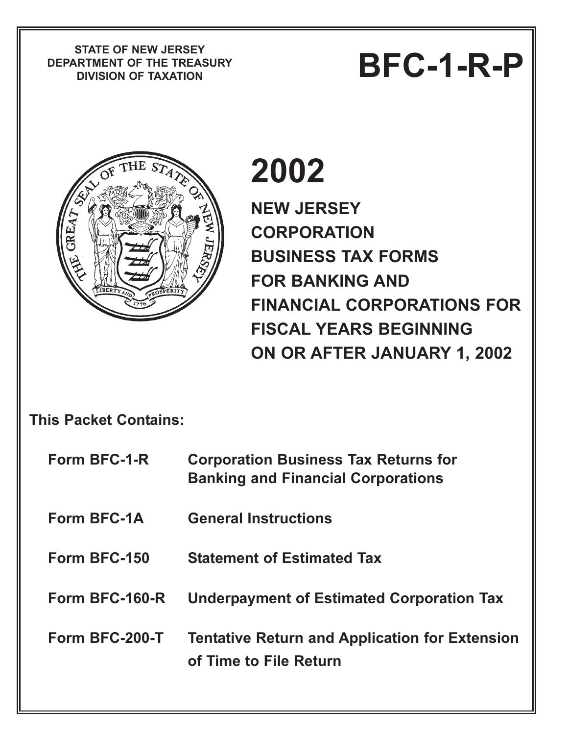**STATE OF NEW JERSEY DEPARTMENT OF THE TREASURY**

# PIATE OF NEW JERSET<br>RTMENT OF THE TREASURY<br>DIVISION OF TAXATION



# **2002**

**NEW JERSEY CORPORATION BUSINESS TAX FORMS FOR BANKING AND FINANCIAL CORPORATIONS FOR FISCAL YEARS BEGINNING ON OR AFTER JANUARY 1, 2002**

**This Packet Contains:**

| Form BFC-1-R       | <b>Corporation Business Tax Returns for</b><br><b>Banking and Financial Corporations</b> |
|--------------------|------------------------------------------------------------------------------------------|
| <b>Form BFC-1A</b> | <b>General Instructions</b>                                                              |
| Form BFC-150       | <b>Statement of Estimated Tax</b>                                                        |
| Form BFC-160-R     | <b>Underpayment of Estimated Corporation Tax</b>                                         |
| Form BFC-200-T     | <b>Tentative Return and Application for Extension</b><br>of Time to File Return          |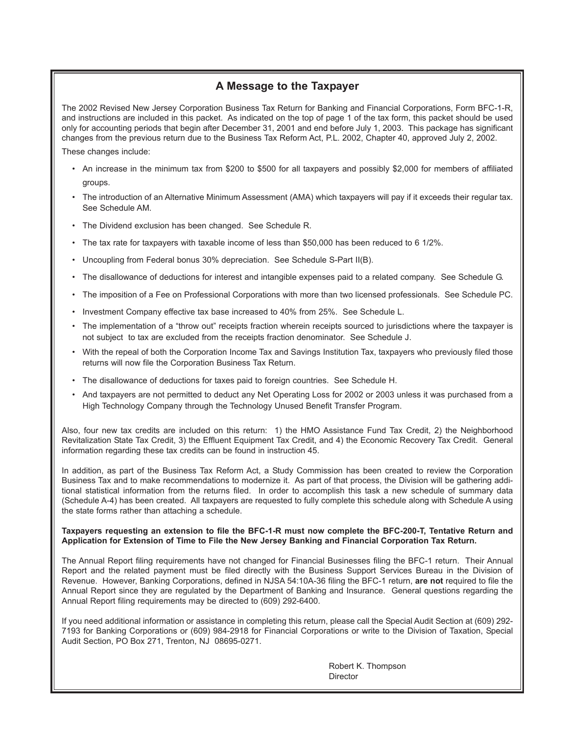## **A Message to the Taxpayer**

The 2002 Revised New Jersey Corporation Business Tax Return for Banking and Financial Corporations, Form BFC-1-R, and instructions are included in this packet. As indicated on the top of page 1 of the tax form, this packet should be used only for accounting periods that begin after December 31, 2001 and end before July 1, 2003. This package has significant changes from the previous return due to the Business Tax Reform Act, P.L. 2002, Chapter 40, approved July 2, 2002. These changes include:

- An increase in the minimum tax from \$200 to \$500 for all taxpayers and possibly \$2,000 for members of affiliated groups.
- The introduction of an Alternative Minimum Assessment (AMA) which taxpayers will pay if it exceeds their regular tax. See Schedule AM.
- The Dividend exclusion has been changed. See Schedule R.
- The tax rate for taxpayers with taxable income of less than \$50,000 has been reduced to 6 1/2%.
- Uncoupling from Federal bonus 30% depreciation. See Schedule S-Part II(B).
- The disallowance of deductions for interest and intangible expenses paid to a related company. See Schedule G.
- The imposition of a Fee on Professional Corporations with more than two licensed professionals. See Schedule PC.
- Investment Company effective tax base increased to 40% from 25%. See Schedule L.
- The implementation of a "throw out" receipts fraction wherein receipts sourced to jurisdictions where the taxpayer is not subject to tax are excluded from the receipts fraction denominator. See Schedule J.
- With the repeal of both the Corporation Income Tax and Savings Institution Tax, taxpayers who previously filed those returns will now file the Corporation Business Tax Return.
- The disallowance of deductions for taxes paid to foreign countries. See Schedule H.
- And taxpayers are not permitted to deduct any Net Operating Loss for 2002 or 2003 unless it was purchased from a High Technology Company through the Technology Unused Benefit Transfer Program.

Also, four new tax credits are included on this return: 1) the HMO Assistance Fund Tax Credit, 2) the Neighborhood Revitalization State Tax Credit, 3) the Effluent Equipment Tax Credit, and 4) the Economic Recovery Tax Credit. General information regarding these tax credits can be found in instruction 45.

In addition, as part of the Business Tax Reform Act, a Study Commission has been created to review the Corporation Business Tax and to make recommendations to modernize it. As part of that process, the Division will be gathering additional statistical information from the returns filed. In order to accomplish this task a new schedule of summary data (Schedule A-4) has been created. All taxpayers are requested to fully complete this schedule along with Schedule A using the state forms rather than attaching a schedule.

#### **Taxpayers requesting an extension to file the BFC-1-R must now complete the BFC-200-T, Tentative Return and Application for Extension of Time to File the New Jersey Banking and Financial Corporation Tax Return.**

The Annual Report filing requirements have not changed for Financial Businesses filing the BFC-1 return. Their Annual Report and the related payment must be filed directly with the Business Support Services Bureau in the Division of Revenue. However, Banking Corporations, defined in NJSA 54:10A-36 filing the BFC-1 return, **are not** required to file the Annual Report since they are regulated by the Department of Banking and Insurance. General questions regarding the Annual Report filing requirements may be directed to (609) 292-6400.

If you need additional information or assistance in completing this return, please call the Special Audit Section at (609) 292- 7193 for Banking Corporations or (609) 984-2918 for Financial Corporations or write to the Division of Taxation, Special Audit Section, PO Box 271, Trenton, NJ 08695-0271.

> Robert K. Thompson Director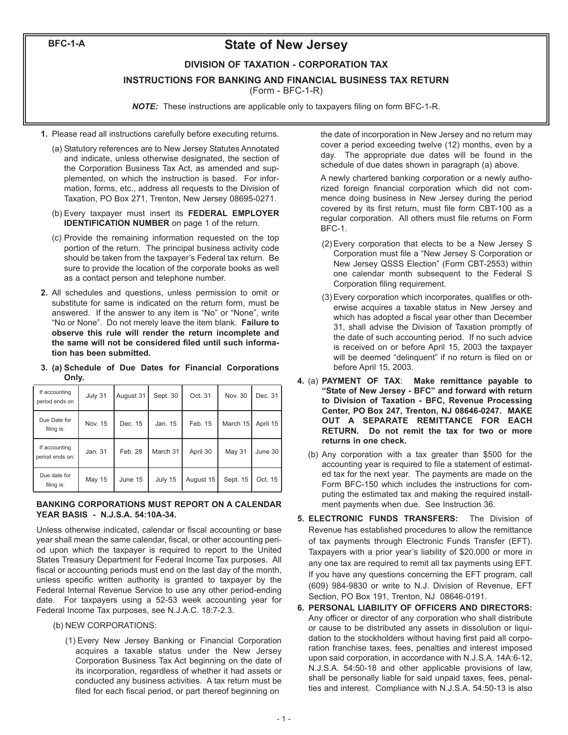**BFC-1-A**

## **State of New Jersey**

#### **DIVISION OF TAXATION - CORPORATION TAX**

**INSTRUCTIONS FOR BANKING AND FINANCIAL BUSINESS TAX RETURN**

(Form - BFC-1-R)

*NOTE:* These instructions are applicable only to taxpayers filing on form BFC-1-R.

- **1.** Please read all instructions carefully before executing returns.
	- (a) Statutory references are to New Jersey Statutes Annotated and indicate, unless otherwise designated, the section of the Corporation Business Tax Act, as amended and supplemented, on which the instruction is based. For information, forms, etc., address all requests to the Division of Taxation, PO Box 271, Trenton, New Jersey 08695-0271.
	- (b) Every taxpayer must insert its **FEDERAL EMPLOYER IDENTIFICATION NUMBER** on page 1 of the return.
	- (c) Provide the remaining information requested on the top portion of the return. The principal business activity code should be taken from the taxpayer's Federal tax return. Be sure to provide the location of the corporate books as well as a contact person and telephone number.
- **2.** All schedules and questions, unless permission to omit or substitute for same is indicated on the return form, must be answered. If the answer to any item is "No" or "None", write "No or None". Do not merely leave the item blank. **Failure to observe this rule will render the return incomplete and the same will not be considered filed until such information has been submitted.**
- **3. (a) Schedule of Due Dates for Financial Corporations Only.**

| If accounting<br>period ends on  | July 31 | August 31 | Sept. 30 | Oct. 31   | Nov. 30       | Dec. 31  |
|----------------------------------|---------|-----------|----------|-----------|---------------|----------|
| Due Date for<br>filing is:       | Nov. 15 | Dec. 15   | Jan. 15  | Feb. 15   | March 15      | April 15 |
| If accounting<br>period ends on: | Jan. 31 | Feb. 28   | March 31 | April 30  | <b>May 31</b> | June 30  |
| Due date for<br>filing is:       | May 15  | June 15   | July 15  | August 15 | Sept. 15      | Oct. 15  |

#### **BANKING CORPORATIONS MUST REPORT ON A CALENDAR YEAR BASIS - N.J.S.A. 54:10A-34.**

Unless otherwise indicated, calendar or fiscal accounting or base year shall mean the same calendar, fiscal, or other accounting period upon which the taxpayer is required to report to the United States Treasury Department for Federal Income Tax purposes. All fiscal or accounting periods must end on the last day of the month, unless specific written authority is granted to taxpayer by the Federal Internal Revenue Service to use any other period-ending date. For taxpayers using a 52-53 week accounting year for Federal Income Tax purposes, see N.J.A.C. 18:7-2.3.

- (b) NEW CORPORATIONS:
	- (1) Every New Jersey Banking or Financial Corporation acquires a taxable status under the New Jersey Corporation Business Tax Act beginning on the date of its incorporation, regardless of whether it had assets or conducted any business activities. A tax return must be filed for each fiscal period, or part thereof beginning on

the date of incorporation in New Jersey and no return may cover a period exceeding twelve (12) months, even by a day. The appropriate due dates will be found in the schedule of due dates shown in paragraph (a) above.

A newly chartered banking corporation or a newly authorized foreign financial corporation which did not commence doing business in New Jersey during the period covered by its first return, must file form CBT-100 as a regular corporation. All others must file returns on Form BFC-1.

- (2) Every corporation that elects to be a New Jersey S Corporation must file a "New Jersey S Corporation or New Jersey QSSS Election" (Form CBT-2553) within one calendar month subsequent to the Federal S Corporation filing requirement.
- (3) Every corporation which incorporates, qualifies or otherwise acquires a taxable status in New Jersey and which has adopted a fiscal year other than December 31, shall advise the Division of Taxation promptly of the date of such accounting period. If no such advice is received on or before April 15, 2003 the taxpayer will be deemed "delinquent" if no return is filed on or before April 15, 2003.
- **4.** (a) **PAYMENT OF TAX**: **Make remittance payable to "State of New Jersey - BFC" and forward with return to Division of Taxation - BFC, Revenue Processing Center, PO Box 247, Trenton, NJ 08646-0247. MAKE OUT A SEPARATE REMITTANCE FOR EACH RETURN. Do not remit the tax for two or more returns in one check.**
	- (b) Any corporation with a tax greater than \$500 for the accounting year is required to file a statement of estimated tax for the next year. The payments are made on the Form BFC-150 which includes the instructions for computing the estimated tax and making the required installment payments when due. See Instruction 36.
- **5. ELECTRONIC FUNDS TRANSFERS:** The Division of Revenue has established procedures to allow the remittance of tax payments through Electronic Funds Transfer (EFT). Taxpayers with a prior year's liability of \$20,000 or more in any one tax are required to remit all tax payments using EFT. If you have any questions concerning the EFT program, call (609) 984-9830 or write to N.J. Division of Revenue, EFT Section, PO Box 191, Trenton, NJ 08646-0191.
- **6. PERSONAL LIABILITY OF OFFICERS AND DIRECTORS:** Any officer or director of any corporation who shall distribute or cause to be distributed any assets in dissolution or liquidation to the stockholders without having first paid all corporation franchise taxes, fees, penalties and interest imposed upon said corporation, in accordance with N.J.S.A. 14A:6-12, N.J.S.A. 54:50-18 and other applicable provisions of law, shall be personally liable for said unpaid taxes, fees, penalties and interest. Compliance with N.J.S.A. 54:50-13 is also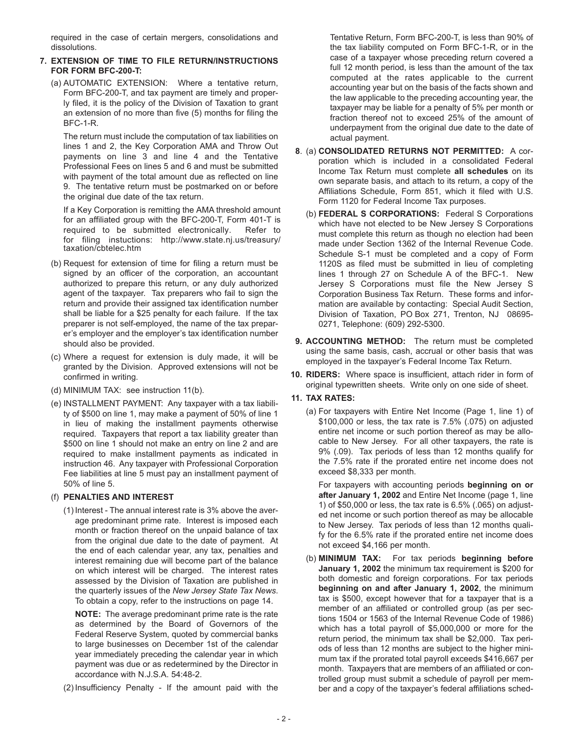required in the case of certain mergers, consolidations and dissolutions.

#### **7. EXTENSION OF TIME TO FILE RETURN/INSTRUCTIONS FOR FORM BFC-200-T:**

(a) AUTOMATIC EXTENSION: Where a tentative return, Form BFC-200-T, and tax payment are timely and properly filed, it is the policy of the Division of Taxation to grant an extension of no more than five (5) months for filing the BFC-1-R.

The return must include the computation of tax liabilities on lines 1 and 2, the Key Corporation AMA and Throw Out payments on line 3 and line 4 and the Tentative Professional Fees on lines 5 and 6 and must be submitted with payment of the total amount due as reflected on line 9. The tentative return must be postmarked on or before the original due date of the tax return.

If a Key Corporation is remitting the AMA threshold amount for an affiliated group with the BFC-200-T, Form 401-T is required to be submitted electronically. Refer to for filing instuctions: http://www.state.nj.us/treasury/ taxation/cbtelec.htm

- (b) Request for extension of time for filing a return must be signed by an officer of the corporation, an accountant authorized to prepare this return, or any duly authorized agent of the taxpayer. Tax preparers who fail to sign the return and provide their assigned tax identification number shall be liable for a \$25 penalty for each failure. If the tax preparer is not self-employed, the name of the tax preparer's employer and the employer's tax identification number should also be provided.
- (c) Where a request for extension is duly made, it will be granted by the Division. Approved extensions will not be confirmed in writing.
- (d) MINIMUM TAX: see instruction 11(b).
- (e) INSTALLMENT PAYMENT: Any taxpayer with a tax liability of \$500 on line 1, may make a payment of 50% of line 1 in lieu of making the installment payments otherwise required. Taxpayers that report a tax liability greater than \$500 on line 1 should not make an entry on line 2 and are required to make installment payments as indicated in instruction 46. Any taxpayer with Professional Corporation Fee liabilities at line 5 must pay an installment payment of 50% of line 5.

#### (f) **PENALTIES AND INTEREST**

(1) Interest - The annual interest rate is 3% above the average predominant prime rate. Interest is imposed each month or fraction thereof on the unpaid balance of tax from the original due date to the date of payment. At the end of each calendar year, any tax, penalties and interest remaining due will become part of the balance on which interest will be charged. The interest rates assessed by the Division of Taxation are published in the quarterly issues of the *New Jersey State Tax News*. To obtain a copy, refer to the instructions on page 14.

**NOTE:** The average predominant prime rate is the rate as determined by the Board of Governors of the Federal Reserve System, quoted by commercial banks to large businesses on December 1st of the calendar year immediately preceding the calendar year in which payment was due or as redetermined by the Director in accordance with N.J.S.A. 54:48-2.

(2) Insufficiency Penalty - If the amount paid with the

Tentative Return, Form BFC-200-T, is less than 90% of the tax liability computed on Form BFC-1-R, or in the case of a taxpayer whose preceding return covered a full 12 month period, is less than the amount of the tax computed at the rates applicable to the current accounting year but on the basis of the facts shown and the law applicable to the preceding accounting year, the taxpayer may be liable for a penalty of 5% per month or fraction thereof not to exceed 25% of the amount of underpayment from the original due date to the date of actual payment.

- **8**. (a) **CONSOLIDATED RETURNS NOT PERMITTED:** A corporation which is included in a consolidated Federal Income Tax Return must complete **all schedules** on its own separate basis, and attach to its return, a copy of the Affiliations Schedule, Form 851, which it filed with U.S. Form 1120 for Federal Income Tax purposes.
	- (b) **FEDERAL S CORPORATIONS:** Federal S Corporations which have not elected to be New Jersey S Corporations must complete this return as though no election had been made under Section 1362 of the Internal Revenue Code. Schedule S-1 must be completed and a copy of Form 1120S as filed must be submitted in lieu of completing lines 1 through 27 on Schedule A of the BFC-1. New Jersey S Corporations must file the New Jersey S Corporation Business Tax Return. These forms and information are available by contacting: Special Audit Section, Division of Taxation, PO Box 271, Trenton, NJ 08695- 0271, Telephone: (609) 292-5300.
- **9. ACCOUNTING METHOD:** The return must be completed using the same basis, cash, accrual or other basis that was employed in the taxpayer's Federal Income Tax Return.
- **10. RIDERS:** Where space is insufficient, attach rider in form of original typewritten sheets. Write only on one side of sheet.

#### **11. TAX RATES:**

(a) For taxpayers with Entire Net Income (Page 1, line 1) of \$100,000 or less, the tax rate is 7.5% (.075) on adjusted entire net income or such portion thereof as may be allocable to New Jersey. For all other taxpayers, the rate is 9% (.09). Tax periods of less than 12 months qualify for the 7.5% rate if the prorated entire net income does not exceed \$8,333 per month.

For taxpayers with accounting periods **beginning on or after January 1, 2002** and Entire Net Income (page 1, line 1) of \$50,000 or less, the tax rate is 6.5% (.065) on adjusted net income or such portion thereof as may be allocable to New Jersey. Tax periods of less than 12 months qualify for the 6.5% rate if the prorated entire net income does not exceed \$4,166 per month.

(b) **MINIMUM TAX:** For tax periods **beginning before January 1, 2002** the minimum tax requirement is \$200 for both domestic and foreign corporations. For tax periods **beginning on and after January 1, 2002**, the minimum tax is \$500, except however that for a taxpayer that is a member of an affiliated or controlled group (as per sections 1504 or 1563 of the Internal Revenue Code of 1986) which has a total payroll of \$5,000,000 or more for the return period, the minimum tax shall be \$2,000. Tax periods of less than 12 months are subject to the higher minimum tax if the prorated total payroll exceeds \$416,667 per month. Taxpayers that are members of an affiliated or controlled group must submit a schedule of payroll per member and a copy of the taxpayer's federal affiliations sched-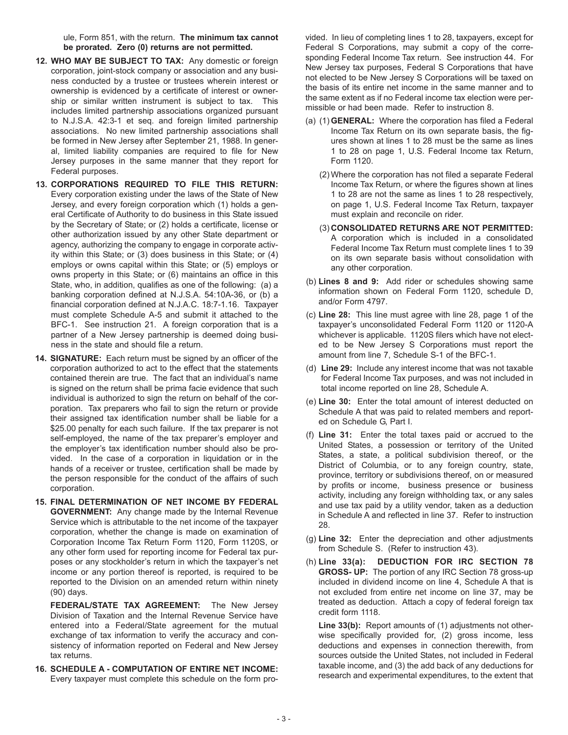ule, Form 851, with the return. **The minimum tax cannot be prorated. Zero (0) returns are not permitted.**

- **12. WHO MAY BE SUBJECT TO TAX:** Any domestic or foreign corporation, joint-stock company or association and any business conducted by a trustee or trustees wherein interest or ownership is evidenced by a certificate of interest or ownership or similar written instrument is subject to tax. This includes limited partnership associations organized pursuant to N.J.S.A. 42:3-1 et seq. and foreign limited partnership associations. No new limited partnership associations shall be formed in New Jersey after September 21, 1988. In general, limited liability companies are required to file for New Jersey purposes in the same manner that they report for Federal purposes.
- **13. CORPORATIONS REQUIRED TO FILE THIS RETURN:** Every corporation existing under the laws of the State of New Jersey, and every foreign corporation which (1) holds a general Certificate of Authority to do business in this State issued by the Secretary of State; or (2) holds a certificate, license or other authorization issued by any other State department or agency, authorizing the company to engage in corporate activity within this State; or (3) does business in this State; or (4) employs or owns capital within this State; or (5) employs or owns property in this State; or (6) maintains an office in this State, who, in addition, qualifies as one of the following: (a) a banking corporation defined at N.J.S.A. 54:10A-36, or (b) a financial corporation defined at N.J.A.C. 18:7-1.16. Taxpayer must complete Schedule A-5 and submit it attached to the BFC-1. See instruction 21. A foreign corporation that is a partner of a New Jersey partnership is deemed doing business in the state and should file a return.
- **14. SIGNATURE:** Each return must be signed by an officer of the corporation authorized to act to the effect that the statements contained therein are true. The fact that an individual's name is signed on the return shall be prima facie evidence that such individual is authorized to sign the return on behalf of the corporation. Tax preparers who fail to sign the return or provide their assigned tax identification number shall be liable for a \$25.00 penalty for each such failure. If the tax preparer is not self-employed, the name of the tax preparer's employer and the employer's tax identification number should also be provided. In the case of a corporation in liquidation or in the hands of a receiver or trustee, certification shall be made by the person responsible for the conduct of the affairs of such corporation.
- **15. FINAL DETERMINATION OF NET INCOME BY FEDERAL GOVERNMENT:** Any change made by the Internal Revenue Service which is attributable to the net income of the taxpayer corporation, whether the change is made on examination of Corporation Income Tax Return Form 1120, Form 1120S, or any other form used for reporting income for Federal tax purposes or any stockholder's return in which the taxpayer's net income or any portion thereof is reported, is required to be reported to the Division on an amended return within ninety (90) days.

**FEDERAL/STATE TAX AGREEMENT:** The New Jersey Division of Taxation and the Internal Revenue Service have entered into a Federal/State agreement for the mutual exchange of tax information to verify the accuracy and consistency of information reported on Federal and New Jersey tax returns.

**16. SCHEDULE A - COMPUTATION OF ENTIRE NET INCOME:** Every taxpayer must complete this schedule on the form provided. In lieu of completing lines 1 to 28, taxpayers, except for Federal S Corporations, may submit a copy of the corresponding Federal Income Tax return. See instruction 44. For New Jersey tax purposes, Federal S Corporations that have not elected to be New Jersey S Corporations will be taxed on the basis of its entire net income in the same manner and to the same extent as if no Federal income tax election were permissible or had been made. Refer to instruction 8.

- (a) (1) **GENERAL:** Where the corporation has filed a Federal Income Tax Return on its own separate basis, the figures shown at lines 1 to 28 must be the same as lines 1 to 28 on page 1, U.S. Federal Income tax Return, Form 1120.
	- (2) Where the corporation has not filed a separate Federal Income Tax Return, or where the figures shown at lines 1 to 28 are not the same as lines 1 to 28 respectively, on page 1, U.S. Federal Income Tax Return, taxpayer must explain and reconcile on rider.
	- (3) **CONSOLIDATED RETURNS ARE NOT PERMITTED:** A corporation which is included in a consolidated Federal Income Tax Return must complete lines 1 to 39 on its own separate basis without consolidation with any other corporation.
- (b) **Lines 8 and 9:** Add rider or schedules showing same information shown on Federal Form 1120, schedule D, and/or Form 4797.
- (c) **Line 28:** This line must agree with line 28, page 1 of the taxpayer's unconsolidated Federal Form 1120 or 1120-A whichever is applicable. 1120S filers which have not elected to be New Jersey S Corporations must report the amount from line 7, Schedule S-1 of the BFC-1.
- (d) **Line 29:** Include any interest income that was not taxable for Federal Income Tax purposes, and was not included in total income reported on line 28, Schedule A.
- (e) **Line 30:** Enter the total amount of interest deducted on Schedule A that was paid to related members and reported on Schedule G, Part I.
- (f) **Line 31:** Enter the total taxes paid or accrued to the United States, a possession or territory of the United States, a state, a political subdivision thereof, or the District of Columbia, or to any foreign country, state, province, territory or subdivisions thereof, on or measured by profits or income, business presence or business activity, including any foreign withholding tax, or any sales and use tax paid by a utility vendor, taken as a deduction in Schedule A and reflected in line 37. Refer to instruction 28.
- (g) **Line 32:** Enter the depreciation and other adjustments from Schedule S. (Refer to instruction 43).
- (h) **Line 33(a): DEDUCTION FOR IRC SECTION 78 GROSS- UP:** The portion of any IRC Section 78 gross-up included in dividend income on line 4, Schedule A that is not excluded from entire net income on line 37, may be treated as deduction. Attach a copy of federal foreign tax credit form 1118.

**Line 33(b):** Report amounts of (1) adjustments not otherwise specifically provided for, (2) gross income, less deductions and expenses in connection therewith, from sources outside the United States, not included in Federal taxable income, and (3) the add back of any deductions for research and experimental expenditures, to the extent that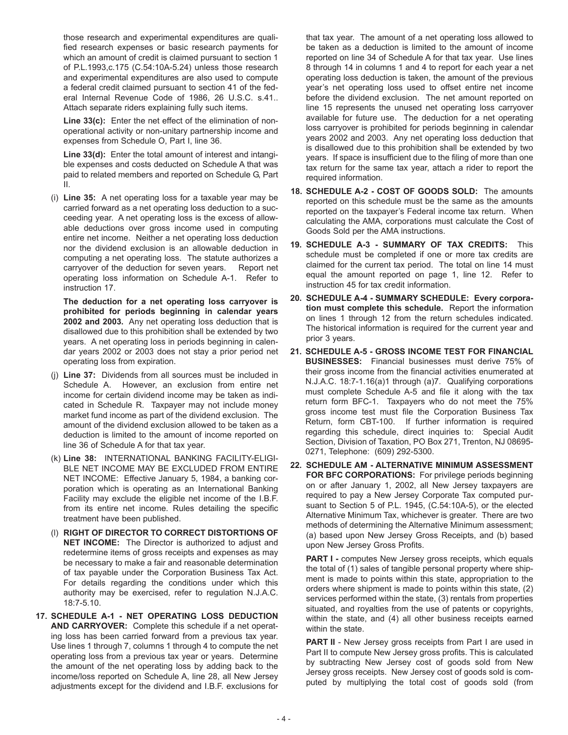those research and experimental expenditures are qualified research expenses or basic research payments for which an amount of credit is claimed pursuant to section 1 of P.L.1993,c.175 (C.54:10A-5.24) unless those research and experimental expenditures are also used to compute a federal credit claimed pursuant to section 41 of the federal Internal Revenue Code of 1986, 26 U.S.C. s.41.. Attach separate riders explaining fully such items.

**Line 33(c):** Enter the net effect of the elimination of nonoperational activity or non-unitary partnership income and expenses from Schedule O, Part I, line 36.

**Line 33(d):** Enter the total amount of interest and intangible expenses and costs deducted on Schedule A that was paid to related members and reported on Schedule G, Part II.

(i) **Line 35:** A net operating loss for a taxable year may be carried forward as a net operating loss deduction to a succeeding year. A net operating loss is the excess of allowable deductions over gross income used in computing entire net income. Neither a net operating loss deduction nor the dividend exclusion is an allowable deduction in computing a net operating loss. The statute authorizes a carryover of the deduction for seven years. Report net operating loss information on Schedule A-1. Refer to instruction 17.

**The deduction for a net operating loss carryover is prohibited for periods beginning in calendar years 2002 and 2003.** Any net operating loss deduction that is disallowed due to this prohibition shall be extended by two years. A net operating loss in periods beginning in calendar years 2002 or 2003 does not stay a prior period net operating loss from expiration.

- (j) **Line 37:** Dividends from all sources must be included in Schedule A. However, an exclusion from entire net income for certain dividend income may be taken as indicated in Schedule R. Taxpayer may not include money market fund income as part of the dividend exclusion. The amount of the dividend exclusion allowed to be taken as a deduction is limited to the amount of income reported on line 36 of Schedule A for that tax year.
- (k) **Line 38:** INTERNATIONAL BANKING FACILITY-ELIGI-BLE NET INCOME MAY BE EXCLUDED FROM ENTIRE NET INCOME: Effective January 5, 1984, a banking corporation which is operating as an International Banking Facility may exclude the eligible net income of the I.B.F. from its entire net income. Rules detailing the specific treatment have been published.
- (l) **RIGHT OF DIRECTOR TO CORRECT DISTORTIONS OF NET INCOME:** The Director is authorized to adjust and redetermine items of gross receipts and expenses as may be necessary to make a fair and reasonable determination of tax payable under the Corporation Business Tax Act. For details regarding the conditions under which this authority may be exercised, refer to regulation N.J.A.C. 18:7-5.10.
- **17. SCHEDULE A-1 NET OPERATING LOSS DEDUCTION AND CARRYOVER:** Complete this schedule if a net operating loss has been carried forward from a previous tax year. Use lines 1 through 7, columns 1 through 4 to compute the net operating loss from a previous tax year or years. Determine the amount of the net operating loss by adding back to the income/loss reported on Schedule A, line 28, all New Jersey adjustments except for the dividend and I.B.F. exclusions for

that tax year. The amount of a net operating loss allowed to be taken as a deduction is limited to the amount of income reported on line 34 of Schedule A for that tax year. Use lines 8 through 14 in columns 1 and 4 to report for each year a net operating loss deduction is taken, the amount of the previous year's net operating loss used to offset entire net income before the dividend exclusion. The net amount reported on line 15 represents the unused net operating loss carryover available for future use. The deduction for a net operating loss carryover is prohibited for periods beginning in calendar years 2002 and 2003. Any net operating loss deduction that is disallowed due to this prohibition shall be extended by two years. If space is insufficient due to the filing of more than one tax return for the same tax year, attach a rider to report the required information.

- **18. SCHEDULE A-2 COST OF GOODS SOLD:** The amounts reported on this schedule must be the same as the amounts reported on the taxpayer's Federal income tax return. When calculating the AMA, corporations must calculate the Cost of Goods Sold per the AMA instructions.
- **19. SCHEDULE A-3 SUMMARY OF TAX CREDITS:** This schedule must be completed if one or more tax credits are claimed for the current tax period. The total on line 14 must equal the amount reported on page 1, line 12. Refer to instruction 45 for tax credit information.
- **20. SCHEDULE A-4 SUMMARY SCHEDULE: Every corporation must complete this schedule.** Report the information on lines 1 through 12 from the return schedules indicated. The historical information is required for the current year and prior 3 years.
- **21. SCHEDULE A-5 GROSS INCOME TEST FOR FINANCIAL BUSINESSES:** Financial businesses must derive 75% of their gross income from the financial activities enumerated at N.J.A.C. 18:7-1.16(a)1 through (a)7. Qualifying corporations must complete Schedule A-5 and file it along with the tax return form BFC-1. Taxpayers who do not meet the 75% gross income test must file the Corporation Business Tax Return, form CBT-100. If further information is required regarding this schedule, direct inquiries to: Special Audit Section, Division of Taxation, PO Box 271, Trenton, NJ 08695- 0271, Telephone: (609) 292-5300.
- **22. SCHEDULE AM ALTERNATIVE MINIMUM ASSESSMENT FOR BFC CORPORATIONS:** For privilege periods beginning on or after January 1, 2002, all New Jersey taxpayers are required to pay a New Jersey Corporate Tax computed pursuant to Section 5 of P.L. 1945, (C.54:10A-5), or the elected Alternative Minimum Tax, whichever is greater. There are two methods of determining the Alternative Minimum assessment; (a) based upon New Jersey Gross Receipts, and (b) based upon New Jersey Gross Profits.

**PART I -** computes New Jersey gross receipts, which equals the total of (1) sales of tangible personal property where shipment is made to points within this state, appropriation to the orders where shipment is made to points within this state, (2) services performed within the state, (3) rentals from properties situated, and royalties from the use of patents or copyrights, within the state, and (4) all other business receipts earned within the state.

**PART II** - New Jersey gross receipts from Part I are used in Part II to compute New Jersey gross profits. This is calculated by subtracting New Jersey cost of goods sold from New Jersey gross receipts. New Jersey cost of goods sold is computed by multiplying the total cost of goods sold (from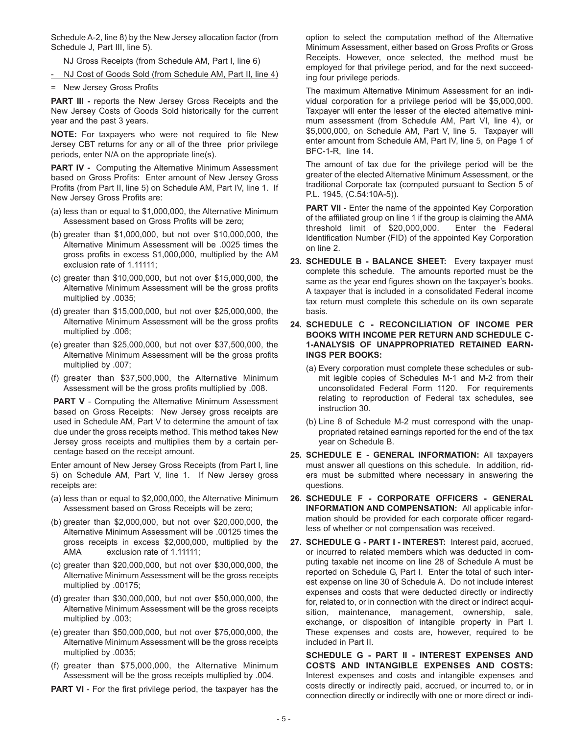Schedule A-2, line 8) by the New Jersey allocation factor (from Schedule J, Part III, line 5).

NJ Gross Receipts (from Schedule AM, Part I, line 6)

- NJ Cost of Goods Sold (from Schedule AM, Part II, line 4)
- = New Jersey Gross Profits

**PART III -** reports the New Jersey Gross Receipts and the New Jersey Costs of Goods Sold historically for the current year and the past 3 years.

**NOTE:** For taxpayers who were not required to file New Jersey CBT returns for any or all of the three prior privilege periods, enter N/A on the appropriate line(s).

**PART IV -** Computing the Alternative Minimum Assessment based on Gross Profits: Enter amount of New Jersey Gross Profits (from Part II, line 5) on Schedule AM, Part IV, line 1. If New Jersey Gross Profits are:

- (a) less than or equal to \$1,000,000, the Alternative Minimum Assessment based on Gross Profits will be zero;
- (b) greater than \$1,000,000, but not over \$10,000,000, the Alternative Minimum Assessment will be .0025 times the gross profits in excess \$1,000,000, multiplied by the AM exclusion rate of 1.11111;
- (c) greater than \$10,000,000, but not over \$15,000,000, the Alternative Minimum Assessment will be the gross profits multiplied by .0035;
- (d) greater than \$15,000,000, but not over \$25,000,000, the Alternative Minimum Assessment will be the gross profits multiplied by .006;
- (e) greater than \$25,000,000, but not over \$37,500,000, the Alternative Minimum Assessment will be the gross profits multiplied by .007;
- (f) greater than \$37,500,000, the Alternative Minimum Assessment will be the gross profits multiplied by .008.

**PART V** - Computing the Alternative Minimum Assessment based on Gross Receipts: New Jersey gross receipts are used in Schedule AM, Part V to determine the amount of tax due under the gross receipts method. This method takes New Jersey gross receipts and multiplies them by a certain percentage based on the receipt amount.

Enter amount of New Jersey Gross Receipts (from Part I, line 5) on Schedule AM, Part V, line 1. If New Jersey gross receipts are:

- (a) less than or equal to \$2,000,000, the Alternative Minimum Assessment based on Gross Receipts will be zero;
- (b) greater than \$2,000,000, but not over \$20,000,000, the Alternative Minimum Assessment will be .00125 times the gross receipts in excess \$2,000,000, multiplied by the AMA exclusion rate of 1.11111;
- (c) greater than \$20,000,000, but not over \$30,000,000, the Alternative Minimum Assessment will be the gross receipts multiplied by .00175;
- (d) greater than \$30,000,000, but not over \$50,000,000, the Alternative Minimum Assessment will be the gross receipts multiplied by .003;
- (e) greater than \$50,000,000, but not over \$75,000,000, the Alternative Minimum Assessment will be the gross receipts multiplied by .0035;
- (f) greater than \$75,000,000, the Alternative Minimum Assessment will be the gross receipts multiplied by .004.

**PART VI** - For the first privilege period, the taxpayer has the

option to select the computation method of the Alternative Minimum Assessment, either based on Gross Profits or Gross Receipts. However, once selected, the method must be employed for that privilege period, and for the next succeeding four privilege periods.

The maximum Alternative Minimum Assessment for an individual corporation for a privilege period will be \$5,000,000. Taxpayer will enter the lesser of the elected alternative minimum assessment (from Schedule AM, Part VI, line 4), or \$5,000,000, on Schedule AM, Part V, line 5. Taxpayer will enter amount from Schedule AM, Part IV, line 5, on Page 1 of BFC-1-R, line 14.

The amount of tax due for the privilege period will be the greater of the elected Alternative Minimum Assessment, or the traditional Corporate tax (computed pursuant to Section 5 of P.L. 1945, (C.54:10A-5)).

**PART VII** - Enter the name of the appointed Key Corporation of the affiliated group on line 1 if the group is claiming the AMA threshold limit of \$20,000,000. Enter the Federal Identification Number (FID) of the appointed Key Corporation on line 2.

- **23. SCHEDULE B BALANCE SHEET:** Every taxpayer must complete this schedule. The amounts reported must be the same as the year end figures shown on the taxpayer's books. A taxpayer that is included in a consolidated Federal income tax return must complete this schedule on its own separate basis.
- **24. SCHEDULE C RECONCILIATION OF INCOME PER BOOKS WITH INCOME PER RETURN AND SCHEDULE C-1-ANALYSIS OF UNAPPROPRIATED RETAINED EARN-INGS PER BOOKS:**
	- (a) Every corporation must complete these schedules or submit legible copies of Schedules M-1 and M-2 from their unconsolidated Federal Form 1120. For requirements relating to reproduction of Federal tax schedules, see instruction 30.
	- (b) Line 8 of Schedule M-2 must correspond with the unappropriated retained earnings reported for the end of the tax year on Schedule B.
- **25. SCHEDULE E GENERAL INFORMATION:** All taxpayers must answer all questions on this schedule. In addition, riders must be submitted where necessary in answering the questions.
- **26. SCHEDULE F CORPORATE OFFICERS GENERAL INFORMATION AND COMPENSATION:** All applicable information should be provided for each corporate officer regardless of whether or not compensation was received.
- **27. SCHEDULE G PART I INTEREST:** Interest paid, accrued, or incurred to related members which was deducted in computing taxable net income on line 28 of Schedule A must be reported on Schedule G, Part I. Enter the total of such interest expense on line 30 of Schedule A. Do not include interest expenses and costs that were deducted directly or indirectly for, related to, or in connection with the direct or indirect acquisition, maintenance, management, ownership, sale, exchange, or disposition of intangible property in Part I. These expenses and costs are, however, required to be included in Part II.

**SCHEDULE G - PART II - INTEREST EXPENSES AND COSTS AND INTANGIBLE EXPENSES AND COSTS:** Interest expenses and costs and intangible expenses and costs directly or indirectly paid, accrued, or incurred to, or in connection directly or indirectly with one or more direct or indi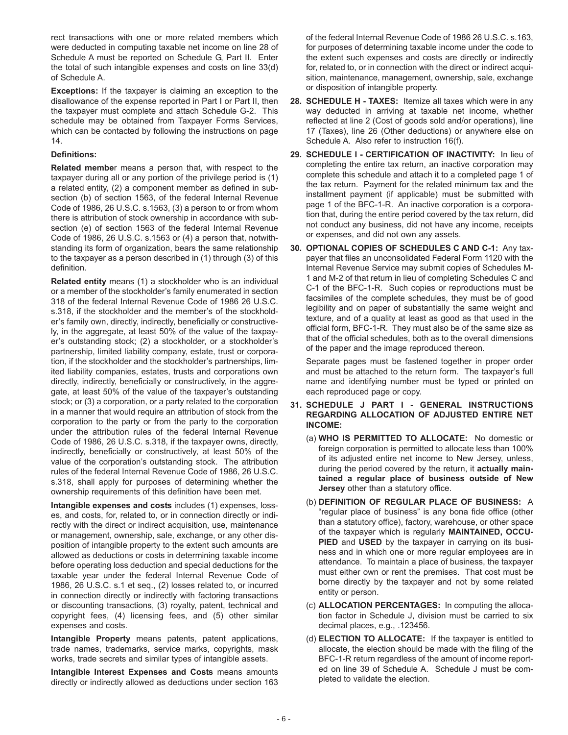rect transactions with one or more related members which were deducted in computing taxable net income on line 28 of Schedule A must be reported on Schedule G, Part II. Enter the total of such intangible expenses and costs on line 33(d) of Schedule A.

**Exceptions:** If the taxpayer is claiming an exception to the disallowance of the expense reported in Part I or Part II, then the taxpayer must complete and attach Schedule G-2. This schedule may be obtained from Taxpayer Forms Services, which can be contacted by following the instructions on page 14.

#### **Definitions:**

**Related membe**r means a person that, with respect to the taxpayer during all or any portion of the privilege period is (1) a related entity, (2) a component member as defined in subsection (b) of section 1563, of the federal Internal Revenue Code of 1986, 26 U.S.C. s.1563, (3) a person to or from whom there is attribution of stock ownership in accordance with subsection (e) of section 1563 of the federal Internal Revenue Code of 1986, 26 U.S.C. s.1563 or (4) a person that, notwithstanding its form of organization, bears the same relationship to the taxpayer as a person described in (1) through (3) of this definition.

**Related entity** means (1) a stockholder who is an individual or a member of the stockholder's family enumerated in section 318 of the federal Internal Revenue Code of 1986 26 U.S.C. s.318, if the stockholder and the member's of the stockholder's family own, directly, indirectly, beneficially or constructively, in the aggregate, at least 50% of the value of the taxpayer's outstanding stock; (2) a stockholder, or a stockholder's partnership, limited liability company, estate, trust or corporation, if the stockholder and the stockholder's partnerships, limited liability companies, estates, trusts and corporations own directly, indirectly, beneficially or constructively, in the aggregate, at least 50% of the value of the taxpayer's outstanding stock; or (3) a corporation, or a party related to the corporation in a manner that would require an attribution of stock from the corporation to the party or from the party to the corporation under the attribution rules of the federal Internal Revenue Code of 1986, 26 U.S.C. s.318, if the taxpayer owns, directly, indirectly, beneficially or constructively, at least 50% of the value of the corporation's outstanding stock. The attribution rules of the federal Internal Revenue Code of 1986, 26 U.S.C. s.318, shall apply for purposes of determining whether the ownership requirements of this definition have been met.

**Intangible expenses and costs** includes (1) expenses, losses, and costs, for, related to, or in connection directly or indirectly with the direct or indirect acquisition, use, maintenance or management, ownership, sale, exchange, or any other disposition of intangible property to the extent such amounts are allowed as deductions or costs in determining taxable income before operating loss deduction and special deductions for the taxable year under the federal Internal Revenue Code of 1986, 26 U.S.C. s.1 et seq., (2) losses related to, or incurred in connection directly or indirectly with factoring transactions or discounting transactions, (3) royalty, patent, technical and copyright fees, (4) licensing fees, and (5) other similar expenses and costs.

**Intangible Property** means patents, patent applications, trade names, trademarks, service marks, copyrights, mask works, trade secrets and similar types of intangible assets.

**Intangible Interest Expenses and Costs** means amounts directly or indirectly allowed as deductions under section 163

of the federal Internal Revenue Code of 1986 26 U.S.C. s.163, for purposes of determining taxable income under the code to the extent such expenses and costs are directly or indirectly for, related to, or in connection with the direct or indirect acquisition, maintenance, management, ownership, sale, exchange or disposition of intangible property.

- **28. SCHEDULE H TAXES:** Itemize all taxes which were in any way deducted in arriving at taxable net income, whether reflected at line 2 (Cost of goods sold and/or operations), line 17 (Taxes), line 26 (Other deductions) or anywhere else on Schedule A. Also refer to instruction 16(f).
- **29. SCHEDULE I CERTIFICATION OF INACTIVITY:** In lieu of completing the entire tax return, an inactive corporation may complete this schedule and attach it to a completed page 1 of the tax return. Payment for the related minimum tax and the installment payment (if applicable) must be submitted with page 1 of the BFC-1-R. An inactive corporation is a corporation that, during the entire period covered by the tax return, did not conduct any business, did not have any income, receipts or expenses, and did not own any assets.
- **30. OPTIONAL COPIES OF SCHEDULES C AND C-1:** Any taxpayer that files an unconsolidated Federal Form 1120 with the Internal Revenue Service may submit copies of Schedules M-1 and M-2 of that return in lieu of completing Schedules C and C-1 of the BFC-1-R. Such copies or reproductions must be facsimiles of the complete schedules, they must be of good legibility and on paper of substantially the same weight and texture, and of a quality at least as good as that used in the official form, BFC-1-R. They must also be of the same size as that of the official schedules, both as to the overall dimensions of the paper and the image reproduced thereon.

Separate pages must be fastened together in proper order and must be attached to the return form. The taxpayer's full name and identifying number must be typed or printed on each reproduced page or copy.

- **31. SCHEDULE J PART I GENERAL INSTRUCTIONS REGARDING ALLOCATION OF ADJUSTED ENTIRE NET INCOME:**
	- (a) **WHO IS PERMITTED TO ALLOCATE:** No domestic or foreign corporation is permitted to allocate less than 100% of its adjusted entire net income to New Jersey, unless, during the period covered by the return, it **actually maintained a regular place of business outside of New Jersey** other than a statutory office.
	- (b) **DEFINITION OF REGULAR PLACE OF BUSINESS:** A "regular place of business" is any bona fide office (other than a statutory office), factory, warehouse, or other space of the taxpayer which is regularly **MAINTAINED, OCCU-PIED** and **USED** by the taxpayer in carrying on its business and in which one or more regular employees are in attendance. To maintain a place of business, the taxpayer must either own or rent the premises. That cost must be borne directly by the taxpayer and not by some related entity or person.
	- (c) **ALLOCATION PERCENTAGES:** In computing the allocation factor in Schedule J, division must be carried to six decimal places, e.g., .123456.
	- (d) **ELECTION TO ALLOCATE:** If the taxpayer is entitled to allocate, the election should be made with the filing of the BFC-1-R return regardless of the amount of income reported on line 39 of Schedule A. Schedule J must be completed to validate the election.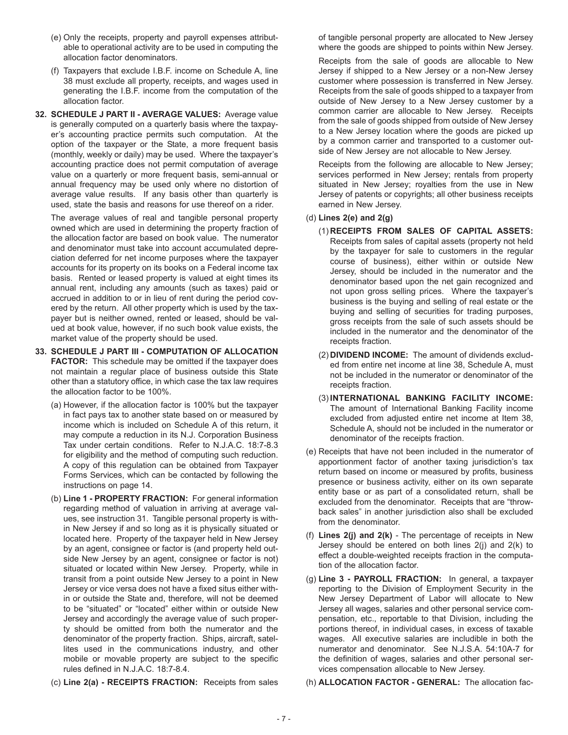- (e) Only the receipts, property and payroll expenses attributable to operational activity are to be used in computing the allocation factor denominators.
- (f) Taxpayers that exclude I.B.F. income on Schedule A, line 38 must exclude all property, receipts, and wages used in generating the I.B.F. income from the computation of the allocation factor.
- **32. SCHEDULE J PART II AVERAGE VALUES:** Average value is generally computed on a quarterly basis where the taxpayer's accounting practice permits such computation. At the option of the taxpayer or the State, a more frequent basis (monthly, weekly or daily) may be used. Where the taxpayer's accounting practice does not permit computation of average value on a quarterly or more frequent basis, semi-annual or annual frequency may be used only where no distortion of average value results. If any basis other than quarterly is used, state the basis and reasons for use thereof on a rider.

The average values of real and tangible personal property owned which are used in determining the property fraction of the allocation factor are based on book value. The numerator and denominator must take into account accumulated depreciation deferred for net income purposes where the taxpayer accounts for its property on its books on a Federal income tax basis. Rented or leased property is valued at eight times its annual rent, including any amounts (such as taxes) paid or accrued in addition to or in lieu of rent during the period covered by the return. All other property which is used by the taxpayer but is neither owned, rented or leased, should be valued at book value, however, if no such book value exists, the market value of the property should be used.

- **33. SCHEDULE J PART III COMPUTATION OF ALLOCATION FACTOR:** This schedule may be omitted if the taxpayer does not maintain a regular place of business outside this State other than a statutory office, in which case the tax law requires the allocation factor to be 100%.
	- (a) However, if the allocation factor is 100% but the taxpayer in fact pays tax to another state based on or measured by income which is included on Schedule A of this return, it may compute a reduction in its N.J. Corporation Business Tax under certain conditions. Refer to N.J.A.C. 18:7-8.3 for eligibility and the method of computing such reduction. A copy of this regulation can be obtained from Taxpayer Forms Services, which can be contacted by following the instructions on page 14.
	- (b) **Line 1 PROPERTY FRACTION:** For general information regarding method of valuation in arriving at average values, see instruction 31. Tangible personal property is within New Jersey if and so long as it is physically situated or located here. Property of the taxpayer held in New Jersey by an agent, consignee or factor is (and property held outside New Jersey by an agent, consignee or factor is not) situated or located within New Jersey. Property, while in transit from a point outside New Jersey to a point in New Jersey or vice versa does not have a fixed situs either within or outside the State and, therefore, will not be deemed to be "situated" or "located" either within or outside New Jersey and accordingly the average value of such property should be omitted from both the numerator and the denominator of the property fraction. Ships, aircraft, satellites used in the communications industry, and other mobile or movable property are subject to the specific rules defined in N.J.A.C. 18:7-8.4.
	- (c) **Line 2(a) RECEIPTS FRACTION:** Receipts from sales

of tangible personal property are allocated to New Jersey where the goods are shipped to points within New Jersey.

Receipts from the sale of goods are allocable to New Jersey if shipped to a New Jersey or a non-New Jersey customer where possession is transferred in New Jersey. Receipts from the sale of goods shipped to a taxpayer from outside of New Jersey to a New Jersey customer by a common carrier are allocable to New Jersey. Receipts from the sale of goods shipped from outside of New Jersey to a New Jersey location where the goods are picked up by a common carrier and transported to a customer outside of New Jersey are not allocable to New Jersey.

Receipts from the following are allocable to New Jersey; services performed in New Jersey; rentals from property situated in New Jersey; royalties from the use in New Jersey of patents or copyrights; all other business receipts earned in New Jersey.

#### (d) **Lines 2(e) and 2(g)**

- (1) **RECEIPTS FROM SALES OF CAPITAL ASSETS:** Receipts from sales of capital assets (property not held by the taxpayer for sale to customers in the regular course of business), either within or outside New Jersey, should be included in the numerator and the denominator based upon the net gain recognized and not upon gross selling prices. Where the taxpayer's business is the buying and selling of real estate or the buying and selling of securities for trading purposes, gross receipts from the sale of such assets should be included in the numerator and the denominator of the receipts fraction.
- (2) **DIVIDEND INCOME:** The amount of dividends excluded from entire net income at line 38, Schedule A, must not be included in the numerator or denominator of the receipts fraction.
- (3) **INTERNATIONAL BANKING FACILITY INCOME:** The amount of International Banking Facility income excluded from adjusted entire net income at Item 38, Schedule A, should not be included in the numerator or denominator of the receipts fraction.
- (e) Receipts that have not been included in the numerator of apportionment factor of another taxing jurisdiction's tax return based on income or measured by profits, business presence or business activity, either on its own separate entity base or as part of a consolidated return, shall be excluded from the denominator. Receipts that are "throwback sales" in another jurisdiction also shall be excluded from the denominator.
- (f) **Lines 2(j) and 2(k)**  The percentage of receipts in New Jersey should be entered on both lines 2(j) and 2(k) to effect a double-weighted receipts fraction in the computation of the allocation factor.
- (g) **Line 3 PAYROLL FRACTION:** In general, a taxpayer reporting to the Division of Employment Security in the New Jersey Department of Labor will allocate to New Jersey all wages, salaries and other personal service compensation, etc., reportable to that Division, including the portions thereof, in individual cases, in excess of taxable wages. All executive salaries are includible in both the numerator and denominator. See N.J.S.A. 54:10A-7 for the definition of wages, salaries and other personal services compensation allocable to New Jersey.

(h) **ALLOCATION FACTOR - GENERAL:** The allocation fac-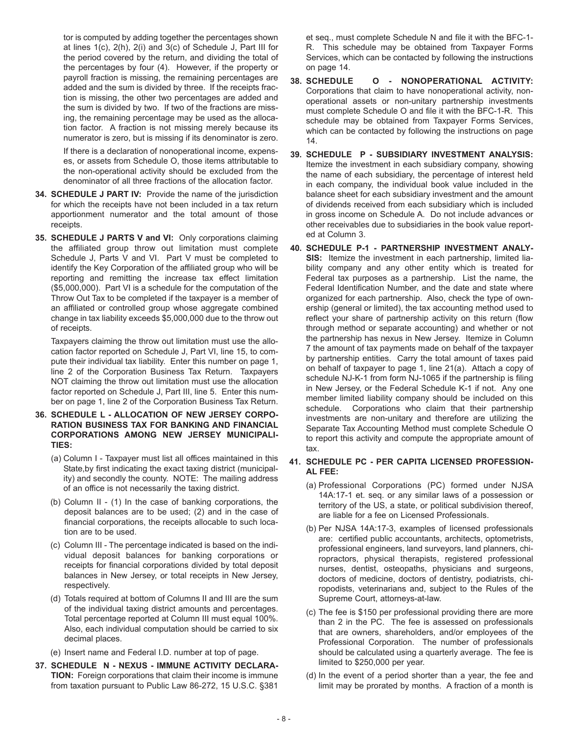tor is computed by adding together the percentages shown at lines 1(c), 2(h), 2(i) and 3(c) of Schedule J, Part III for the period covered by the return, and dividing the total of the percentages by four (4). However, if the property or payroll fraction is missing, the remaining percentages are added and the sum is divided by three. If the receipts fraction is missing, the other two percentages are added and the sum is divided by two. If two of the fractions are missing, the remaining percentage may be used as the allocation factor. A fraction is not missing merely because its numerator is zero, but is missing if its denominator is zero.

If there is a declaration of nonoperational income, expenses, or assets from Schedule O, those items attributable to the non-operational activity should be excluded from the denominator of all three fractions of the allocation factor.

- **34. SCHEDULE J PART IV:** Provide the name of the jurisdiction for which the receipts have not been included in a tax return apportionment numerator and the total amount of those receipts.
- **35. SCHEDULE J PARTS V and VI:** Only corporations claiming the affiliated group throw out limitation must complete Schedule J, Parts V and VI. Part V must be completed to identify the Key Corporation of the affiliated group who will be reporting and remitting the increase tax effect limitation (\$5,000,000). Part VI is a schedule for the computation of the Throw Out Tax to be completed if the taxpayer is a member of an affiliated or controlled group whose aggregate combined change in tax liability exceeds \$5,000,000 due to the throw out of receipts.

Taxpayers claiming the throw out limitation must use the allocation factor reported on Schedule J, Part VI, line 15, to compute their individual tax liability. Enter this number on page 1, line 2 of the Corporation Business Tax Return. Taxpayers NOT claiming the throw out limitation must use the allocation factor reported on Schedule J, Part III, line 5. Enter this number on page 1, line 2 of the Corporation Business Tax Return.

- **36. SCHEDULE L ALLOCATION OF NEW JERSEY CORPO-RATION BUSINESS TAX FOR BANKING AND FINANCIAL CORPORATIONS AMONG NEW JERSEY MUNICIPALI-TIES:**
	- (a) Column I Taxpayer must list all offices maintained in this State,by first indicating the exact taxing district (municipality) and secondly the county. NOTE: The mailing address of an office is not necessarily the taxing district.
	- (b) Column II (1) In the case of banking corporations, the deposit balances are to be used; (2) and in the case of financial corporations, the receipts allocable to such location are to be used.
	- (c) Column III The percentage indicated is based on the individual deposit balances for banking corporations or receipts for financial corporations divided by total deposit balances in New Jersey, or total receipts in New Jersey, respectively.
	- (d) Totals required at bottom of Columns II and III are the sum of the individual taxing district amounts and percentages. Total percentage reported at Column III must equal 100%. Also, each individual computation should be carried to six decimal places.
	- (e) Insert name and Federal I.D. number at top of page.
- **37. SCHEDULE N NEXUS IMMUNE ACTIVITY DECLARA-TION:** Foreign corporations that claim their income is immune from taxation pursuant to Public Law 86-272, 15 U.S.C. §381

et seq., must complete Schedule N and file it with the BFC-1- R. This schedule may be obtained from Taxpayer Forms Services, which can be contacted by following the instructions on page 14.

- **38. SCHEDULE O NONOPERATIONAL ACTIVITY:** Corporations that claim to have nonoperational activity, nonoperational assets or non-unitary partnership investments must complete Schedule O and file it with the BFC-1-R. This schedule may be obtained from Taxpayer Forms Services, which can be contacted by following the instructions on page 14.
- **39. SCHEDULE P SUBSIDIARY INVESTMENT ANALYSIS:** Itemize the investment in each subsidiary company, showing the name of each subsidiary, the percentage of interest held in each company, the individual book value included in the balance sheet for each subsidiary investment and the amount of dividends received from each subsidiary which is included in gross income on Schedule A. Do not include advances or other receivables due to subsidiaries in the book value reported at Column 3.
- **40. SCHEDULE P-1 PARTNERSHIP INVESTMENT ANALY-SIS:** Itemize the investment in each partnership, limited liability company and any other entity which is treated for Federal tax purposes as a partnership. List the name, the Federal Identification Number, and the date and state where organized for each partnership. Also, check the type of ownership (general or limited), the tax accounting method used to reflect your share of partnership activity on this return (flow through method or separate accounting) and whether or not the partnership has nexus in New Jersey. Itemize in Column 7 the amount of tax payments made on behalf of the taxpayer by partnership entities. Carry the total amount of taxes paid on behalf of taxpayer to page 1, line 21(a). Attach a copy of schedule NJ-K-1 from form NJ-1065 if the partnership is filing in New Jersey, or the Federal Schedule K-1 if not. Any one member limited liability company should be included on this schedule. Corporations who claim that their partnership investments are non-unitary and therefore are utilizing the Separate Tax Accounting Method must complete Schedule O to report this activity and compute the appropriate amount of tax.

#### **41. SCHEDULE PC - PER CAPITA LICENSED PROFESSION-AL FEE:**

- (a) Professional Corporations (PC) formed under NJSA 14A:17-1 et. seq. or any similar laws of a possession or territory of the US, a state, or political subdivision thereof, are liable for a fee on Licensed Professionals.
- (b) Per NJSA 14A:17-3, examples of licensed professionals are: certified public accountants, architects, optometrists, professional engineers, land surveyors, land planners, chiropractors, physical therapists, registered professional nurses, dentist, osteopaths, physicians and surgeons, doctors of medicine, doctors of dentistry, podiatrists, chiropodists, veterinarians and, subject to the Rules of the Supreme Court, attorneys-at-law.
- (c) The fee is \$150 per professional providing there are more than 2 in the PC. The fee is assessed on professionals that are owners, shareholders, and/or employees of the Professional Corporation. The number of professionals should be calculated using a quarterly average. The fee is limited to \$250,000 per year.
- (d) In the event of a period shorter than a year, the fee and limit may be prorated by months. A fraction of a month is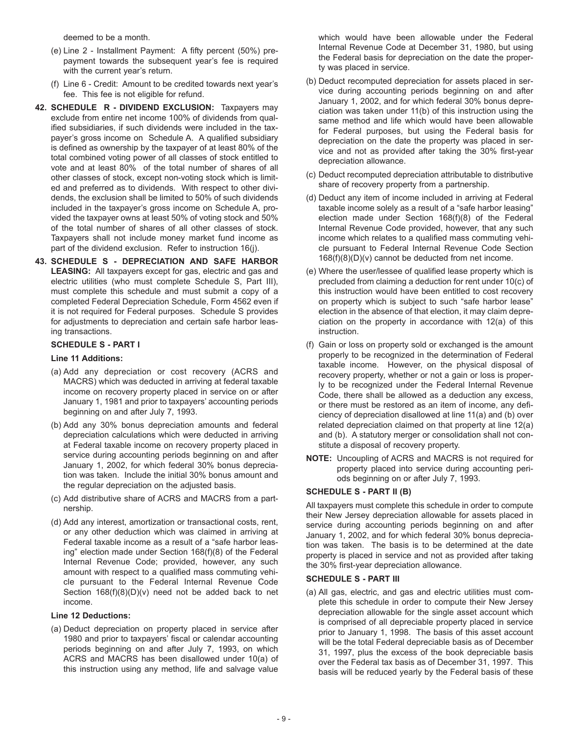deemed to be a month.

- (e) Line 2 Installment Payment: A fifty percent (50%) prepayment towards the subsequent year's fee is required with the current year's return.
- (f) Line 6 Credit: Amount to be credited towards next year's fee. This fee is not eligible for refund.
- **42. SCHEDULE R DIVIDEND EXCLUSION:** Taxpayers may exclude from entire net income 100% of dividends from qualified subsidiaries, if such dividends were included in the taxpayer's gross income on Schedule A. A qualified subsidiary is defined as ownership by the taxpayer of at least 80% of the total combined voting power of all classes of stock entitled to vote and at least 80% of the total number of shares of all other classes of stock, except non-voting stock which is limited and preferred as to dividends. With respect to other dividends, the exclusion shall be limited to 50% of such dividends included in the taxpayer's gross income on Schedule A, provided the taxpayer owns at least 50% of voting stock and 50% of the total number of shares of all other classes of stock. Taxpayers shall not include money market fund income as part of the dividend exclusion. Refer to instruction 16(j).
- **43. SCHEDULE S DEPRECIATION AND SAFE HARBOR LEASING:** All taxpayers except for gas, electric and gas and electric utilities (who must complete Schedule S, Part III), must complete this schedule and must submit a copy of a completed Federal Depreciation Schedule, Form 4562 even if it is not required for Federal purposes. Schedule S provides for adjustments to depreciation and certain safe harbor leasing transactions.

#### **SCHEDULE S - PART I**

#### **Line 11 Additions:**

- (a) Add any depreciation or cost recovery (ACRS and MACRS) which was deducted in arriving at federal taxable income on recovery property placed in service on or after January 1, 1981 and prior to taxpayers' accounting periods beginning on and after July 7, 1993.
- (b) Add any 30% bonus depreciation amounts and federal depreciation calculations which were deducted in arriving at Federal taxable income on recovery property placed in service during accounting periods beginning on and after January 1, 2002, for which federal 30% bonus depreciation was taken. Include the initial 30% bonus amount and the regular depreciation on the adjusted basis.
- (c) Add distributive share of ACRS and MACRS from a partnership.
- (d) Add any interest, amortization or transactional costs, rent, or any other deduction which was claimed in arriving at Federal taxable income as a result of a "safe harbor leasing" election made under Section 168(f)(8) of the Federal Internal Revenue Code; provided, however, any such amount with respect to a qualified mass commuting vehicle pursuant to the Federal Internal Revenue Code Section 168(f)(8)(D)(v) need not be added back to net income.

#### **Line 12 Deductions:**

(a) Deduct depreciation on property placed in service after 1980 and prior to taxpayers' fiscal or calendar accounting periods beginning on and after July 7, 1993, on which ACRS and MACRS has been disallowed under 10(a) of this instruction using any method, life and salvage value

which would have been allowable under the Federal Internal Revenue Code at December 31, 1980, but using the Federal basis for depreciation on the date the property was placed in service.

- (b) Deduct recomputed depreciation for assets placed in service during accounting periods beginning on and after January 1, 2002, and for which federal 30% bonus depreciation was taken under 11(b) of this instruction using the same method and life which would have been allowable for Federal purposes, but using the Federal basis for depreciation on the date the property was placed in service and not as provided after taking the 30% first-year depreciation allowance.
- (c) Deduct recomputed depreciation attributable to distributive share of recovery property from a partnership.
- (d) Deduct any item of income included in arriving at Federal taxable income solely as a result of a "safe harbor leasing" election made under Section 168(f)(8) of the Federal Internal Revenue Code provided, however, that any such income which relates to a qualified mass commuting vehicle pursuant to Federal Internal Revenue Code Section 168(f)(8)(D)(v) cannot be deducted from net income.
- (e) Where the user/lessee of qualified lease property which is precluded from claiming a deduction for rent under 10(c) of this instruction would have been entitled to cost recovery on property which is subject to such "safe harbor lease" election in the absence of that election, it may claim depreciation on the property in accordance with 12(a) of this instruction.
- (f) Gain or loss on property sold or exchanged is the amount properly to be recognized in the determination of Federal taxable income. However, on the physical disposal of recovery property, whether or not a gain or loss is properly to be recognized under the Federal Internal Revenue Code, there shall be allowed as a deduction any excess, or there must be restored as an item of income, any deficiency of depreciation disallowed at line 11(a) and (b) over related depreciation claimed on that property at line 12(a) and (b). A statutory merger or consolidation shall not constitute a disposal of recovery property.
- **NOTE:** Uncoupling of ACRS and MACRS is not required for property placed into service during accounting periods beginning on or after July 7, 1993.

#### **SCHEDULE S - PART II (B)**

All taxpayers must complete this schedule in order to compute their New Jersey depreciation allowable for assets placed in service during accounting periods beginning on and after January 1, 2002, and for which federal 30% bonus depreciation was taken. The basis is to be determined at the date property is placed in service and not as provided after taking the 30% first-year depreciation allowance.

#### **SCHEDULE S - PART III**

(a) All gas, electric, and gas and electric utilities must complete this schedule in order to compute their New Jersey depreciation allowable for the single asset account which is comprised of all depreciable property placed in service prior to January 1, 1998. The basis of this asset account will be the total Federal depreciable basis as of December 31, 1997, plus the excess of the book depreciable basis over the Federal tax basis as of December 31, 1997. This basis will be reduced yearly by the Federal basis of these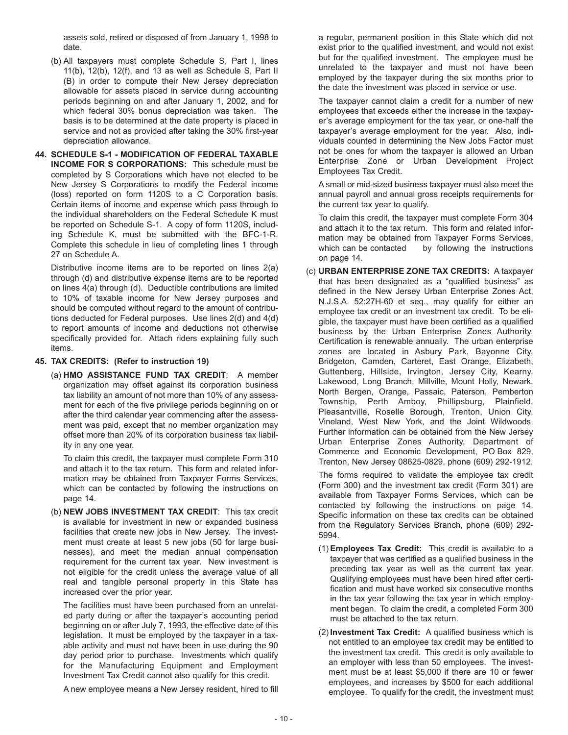assets sold, retired or disposed of from January 1, 1998 to date.

- (b) All taxpayers must complete Schedule S, Part I, lines 11(b), 12(b), 12(f), and 13 as well as Schedule S, Part II (B) in order to compute their New Jersey depreciation allowable for assets placed in service during accounting periods beginning on and after January 1, 2002, and for which federal 30% bonus depreciation was taken. The basis is to be determined at the date property is placed in service and not as provided after taking the 30% first-year depreciation allowance.
- **44. SCHEDULE S-1 MODIFICATION OF FEDERAL TAXABLE INCOME FOR S CORPORATIONS:** This schedule must be completed by S Corporations which have not elected to be New Jersey S Corporations to modify the Federal income (loss) reported on form 1120S to a C Corporation basis. Certain items of income and expense which pass through to the individual shareholders on the Federal Schedule K must be reported on Schedule S-1. A copy of form 1120S, including Schedule K, must be submitted with the BFC-1-R. Complete this schedule in lieu of completing lines 1 through 27 on Schedule A.

Distributive income items are to be reported on lines 2(a) through (d) and distributive expense items are to be reported on lines 4(a) through (d). Deductible contributions are limited to 10% of taxable income for New Jersey purposes and should be computed without regard to the amount of contributions deducted for Federal purposes. Use lines 2(d) and 4(d) to report amounts of income and deductions not otherwise specifically provided for. Attach riders explaining fully such items.

#### **45. TAX CREDITS: (Refer to instruction 19)**

(a) **HMO ASSISTANCE FUND TAX CREDIT**: A member organization may offset against its corporation business tax liability an amount of not more than 10% of any assessment for each of the five privilege periods beginning on or after the third calendar year commencing after the assessment was paid, except that no member organization may offset more than 20% of its corporation business tax liability in any one year.

To claim this credit, the taxpayer must complete Form 310 and attach it to the tax return. This form and related information may be obtained from Taxpayer Forms Services, which can be contacted by following the instructions on page 14.

(b) **NEW JOBS INVESTMENT TAX CREDIT**: This tax credit is available for investment in new or expanded business facilities that create new jobs in New Jersey. The investment must create at least 5 new jobs (50 for large businesses), and meet the median annual compensation requirement for the current tax year. New investment is not eligible for the credit unless the average value of all real and tangible personal property in this State has increased over the prior year.

The facilities must have been purchased from an unrelated party during or after the taxpayer's accounting period beginning on or after July 7, 1993, the effective date of this legislation. It must be employed by the taxpayer in a taxable activity and must not have been in use during the 90 day period prior to purchase. Investments which qualify for the Manufacturing Equipment and Employment Investment Tax Credit cannot also qualify for this credit.

A new employee means a New Jersey resident, hired to fill

a regular, permanent position in this State which did not exist prior to the qualified investment, and would not exist but for the qualified investment. The employee must be unrelated to the taxpayer and must not have been employed by the taxpayer during the six months prior to the date the investment was placed in service or use.

The taxpayer cannot claim a credit for a number of new employees that exceeds either the increase in the taxpayer's average employment for the tax year, or one-half the taxpayer's average employment for the year. Also, individuals counted in determining the New Jobs Factor must not be ones for whom the taxpayer is allowed an Urban Enterprise Zone or Urban Development Project Employees Tax Credit.

A small or mid-sized business taxpayer must also meet the annual payroll and annual gross receipts requirements for the current tax year to qualify.

To claim this credit, the taxpayer must complete Form 304 and attach it to the tax return. This form and related information may be obtained from Taxpayer Forms Services, which can be contacted by following the instructions on page 14.

(c) **URBAN ENTERPRISE ZONE TAX CREDITS:** A taxpayer that has been designated as a "qualified business" as defined in the New Jersey Urban Enterprise Zones Act, N.J.S.A. 52:27H-60 et seq., may qualify for either an employee tax credit or an investment tax credit. To be eligible, the taxpayer must have been certified as a qualified business by the Urban Enterprise Zones Authority. Certification is renewable annually. The urban enterprise zones are located in Asbury Park, Bayonne City, Bridgeton, Camden, Carteret, East Orange, Elizabeth, Guttenberg, Hillside, Irvington, Jersey City, Kearny, Lakewood, Long Branch, Millville, Mount Holly, Newark, North Bergen, Orange, Passaic, Paterson, Pemberton Township, Perth Amboy, Phillipsburg, Plainfield, Pleasantville, Roselle Borough, Trenton, Union City, Vineland, West New York, and the Joint Wildwoods. Further information can be obtained from the New Jersey Urban Enterprise Zones Authority, Department of Commerce and Economic Development, PO Box 829, Trenton, New Jersey 08625-0829, phone (609) 292-1912.

The forms required to validate the employee tax credit (Form 300) and the investment tax credit (Form 301) are available from Taxpayer Forms Services, which can be contacted by following the instructions on page 14. Specific information on these tax credits can be obtained from the Regulatory Services Branch, phone (609) 292- 5994.

- (1) **Employees Tax Credit:** This credit is available to a taxpayer that was certified as a qualified business in the preceding tax year as well as the current tax year. Qualifying employees must have been hired after certification and must have worked six consecutive months in the tax year following the tax year in which employment began. To claim the credit, a completed Form 300 must be attached to the tax return.
- (2) **Investment Tax Credit:** A qualified business which is not entitled to an employee tax credit may be entitled to the investment tax credit. This credit is only available to an employer with less than 50 employees. The investment must be at least \$5,000 if there are 10 or fewer employees, and increases by \$500 for each additional employee. To qualify for the credit, the investment must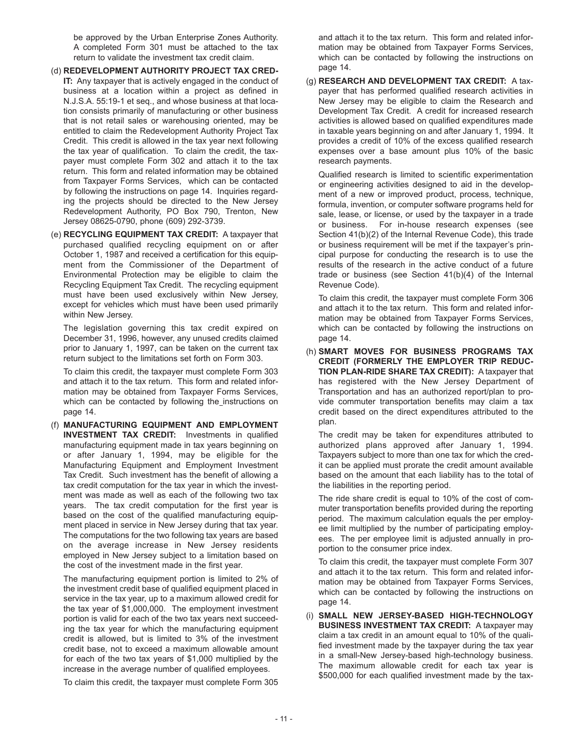be approved by the Urban Enterprise Zones Authority. A completed Form 301 must be attached to the tax return to validate the investment tax credit claim.

- (d) **REDEVELOPMENT AUTHORITY PROJECT TAX CRED-IT:** Any taxpayer that is actively engaged in the conduct of business at a location within a project as defined in N.J.S.A. 55:19-1 et seq., and whose business at that location consists primarily of manufacturing or other business that is not retail sales or warehousing oriented, may be entitled to claim the Redevelopment Authority Project Tax Credit. This credit is allowed in the tax year next following the tax year of qualification. To claim the credit, the taxpayer must complete Form 302 and attach it to the tax return. This form and related information may be obtained from Taxpayer Forms Services, which can be contacted by following the instructions on page 14. Inquiries regarding the projects should be directed to the New Jersey Redevelopment Authority, PO Box 790, Trenton, New Jersey 08625-0790, phone (609) 292-3739.
- (e) **RECYCLING EQUIPMENT TAX CREDIT:** A taxpayer that purchased qualified recycling equipment on or after October 1, 1987 and received a certification for this equipment from the Commissioner of the Department of Environmental Protection may be eligible to claim the Recycling Equipment Tax Credit. The recycling equipment must have been used exclusively within New Jersey, except for vehicles which must have been used primarily within New Jersey.

The legislation governing this tax credit expired on December 31, 1996, however, any unused credits claimed prior to January 1, 1997, can be taken on the current tax return subject to the limitations set forth on Form 303.

To claim this credit, the taxpayer must complete Form 303 and attach it to the tax return. This form and related information may be obtained from Taxpayer Forms Services, which can be contacted by following the instructions on page 14.

(f) **MANUFACTURING EQUIPMENT AND EMPLOYMENT INVESTMENT TAX CREDIT:** Investments in qualified manufacturing equipment made in tax years beginning on or after January 1, 1994, may be eligible for the Manufacturing Equipment and Employment Investment Tax Credit. Such investment has the benefit of allowing a tax credit computation for the tax year in which the investment was made as well as each of the following two tax years. The tax credit computation for the first year is based on the cost of the qualified manufacturing equipment placed in service in New Jersey during that tax year. The computations for the two following tax years are based on the average increase in New Jersey residents employed in New Jersey subject to a limitation based on the cost of the investment made in the first year.

The manufacturing equipment portion is limited to 2% of the investment credit base of qualified equipment placed in service in the tax year, up to a maximum allowed credit for the tax year of \$1,000,000. The employment investment portion is valid for each of the two tax years next succeeding the tax year for which the manufacturing equipment credit is allowed, but is limited to 3% of the investment credit base, not to exceed a maximum allowable amount for each of the two tax years of \$1,000 multiplied by the increase in the average number of qualified employees.

To claim this credit, the taxpayer must complete Form 305

and attach it to the tax return. This form and related information may be obtained from Taxpayer Forms Services, which can be contacted by following the instructions on page 14.

(g) **RESEARCH AND DEVELOPMENT TAX CREDIT:** A taxpayer that has performed qualified research activities in New Jersey may be eligible to claim the Research and Development Tax Credit. A credit for increased research activities is allowed based on qualified expenditures made in taxable years beginning on and after January 1, 1994. It provides a credit of 10% of the excess qualified research expenses over a base amount plus 10% of the basic research payments.

Qualified research is limited to scientific experimentation or engineering activities designed to aid in the development of a new or improved product, process, technique, formula, invention, or computer software programs held for sale, lease, or license, or used by the taxpayer in a trade or business. For in-house research expenses (see Section 41(b)(2) of the Internal Revenue Code), this trade or business requirement will be met if the taxpayer's principal purpose for conducting the research is to use the results of the research in the active conduct of a future trade or business (see Section 41(b)(4) of the Internal Revenue Code).

To claim this credit, the taxpayer must complete Form 306 and attach it to the tax return. This form and related information may be obtained from Taxpayer Forms Services, which can be contacted by following the instructions on page 14.

(h) **SMART MOVES FOR BUSINESS PROGRAMS TAX CREDIT (FORMERLY THE EMPLOYER TRIP REDUC-TION PLAN-RIDE SHARE TAX CREDIT):** A taxpayer that has registered with the New Jersey Department of Transportation and has an authorized report/plan to provide commuter transportation benefits may claim a tax credit based on the direct expenditures attributed to the plan.

The credit may be taken for expenditures attributed to authorized plans approved after January 1, 1994. Taxpayers subject to more than one tax for which the credit can be applied must prorate the credit amount available based on the amount that each liability has to the total of the liabilities in the reporting period.

The ride share credit is equal to 10% of the cost of commuter transportation benefits provided during the reporting period. The maximum calculation equals the per employee limit multiplied by the number of participating employees. The per employee limit is adjusted annually in proportion to the consumer price index.

To claim this credit, the taxpayer must complete Form 307 and attach it to the tax return. This form and related information may be obtained from Taxpayer Forms Services, which can be contacted by following the instructions on page 14.

(i) **SMALL NEW JERSEY-BASED HIGH-TECHNOLOGY BUSINESS INVESTMENT TAX CREDIT:** A taxpayer may claim a tax credit in an amount equal to 10% of the qualified investment made by the taxpayer during the tax year in a small-New Jersey-based high-technology business. The maximum allowable credit for each tax year is \$500,000 for each qualified investment made by the tax-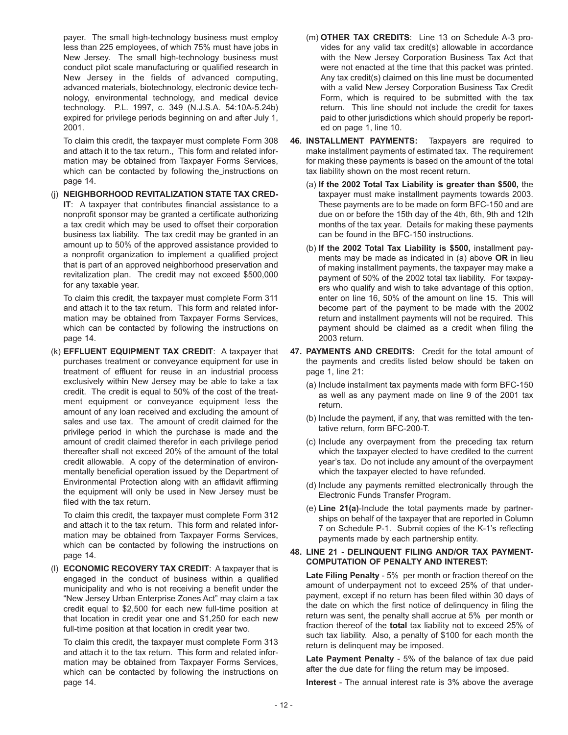payer. The small high-technology business must employ less than 225 employees, of which 75% must have jobs in New Jersey. The small high-technology business must conduct pilot scale manufacturing or qualified research in New Jersey in the fields of advanced computing, advanced materials, biotechnology, electronic device technology, environmental technology, and medical device technology. P.L. 1997, c. 349 (N.J.S.A. 54:10A-5.24b) expired for privilege periods beginning on and after July 1, 2001.

To claim this credit, the taxpayer must complete Form 308 and attach it to the tax return., This form and related information may be obtained from Taxpayer Forms Services, which can be contacted by following the instructions on page 14.

(j) **NEIGHBORHOOD REVITALIZATION STATE TAX CRED-IT**: A taxpayer that contributes financial assistance to a nonprofit sponsor may be granted a certificate authorizing a tax credit which may be used to offset their corporation business tax liability. The tax credit may be granted in an amount up to 50% of the approved assistance provided to a nonprofit organization to implement a qualified project that is part of an approved neighborhood preservation and revitalization plan. The credit may not exceed \$500,000 for any taxable year.

To claim this credit, the taxpayer must complete Form 311 and attach it to the tax return. This form and related information may be obtained from Taxpayer Forms Services, which can be contacted by following the instructions on page 14.

(k) **EFFLUENT EQUIPMENT TAX CREDIT**: A taxpayer that purchases treatment or conveyance equipment for use in treatment of effluent for reuse in an industrial process exclusively within New Jersey may be able to take a tax credit. The credit is equal to 50% of the cost of the treatment equipment or conveyance equipment less the amount of any loan received and excluding the amount of sales and use tax. The amount of credit claimed for the privilege period in which the purchase is made and the amount of credit claimed therefor in each privilege period thereafter shall not exceed 20% of the amount of the total credit allowable. A copy of the determination of environmentally beneficial operation issued by the Department of Environmental Protection along with an affidavit affirming the equipment will only be used in New Jersey must be filed with the tax return.

To claim this credit, the taxpayer must complete Form 312 and attach it to the tax return. This form and related information may be obtained from Taxpayer Forms Services, which can be contacted by following the instructions on page 14.

(l) **ECONOMIC RECOVERY TAX CREDIT**: A taxpayer that is engaged in the conduct of business within a qualified municipality and who is not receiving a benefit under the "New Jersey Urban Enterprise Zones Act" may claim a tax credit equal to \$2,500 for each new full-time position at that location in credit year one and \$1,250 for each new full-time position at that location in credit year two.

To claim this credit, the taxpayer must complete Form 313 and attach it to the tax return. This form and related information may be obtained from Taxpayer Forms Services, which can be contacted by following the instructions on page 14.

- (m) **OTHER TAX CREDITS**: Line 13 on Schedule A-3 provides for any valid tax credit(s) allowable in accordance with the New Jersey Corporation Business Tax Act that were not enacted at the time that this packet was printed. Any tax credit(s) claimed on this line must be documented with a valid New Jersey Corporation Business Tax Credit Form, which is required to be submitted with the tax return. This line should not include the credit for taxes paid to other jurisdictions which should properly be reported on page 1, line 10.
- **46. INSTALLMENT PAYMENTS:** Taxpayers are required to make installment payments of estimated tax. The requirement for making these payments is based on the amount of the total tax liability shown on the most recent return.
	- (a) **If the 2002 Total Tax Liability is greater than \$500,** the taxpayer must make installment payments towards 2003. These payments are to be made on form BFC-150 and are due on or before the 15th day of the 4th, 6th, 9th and 12th months of the tax year. Details for making these payments can be found in the BFC-150 instructions.
	- (b) **If the 2002 Total Tax Liability is \$500,** installment payments may be made as indicated in (a) above **OR** in lieu of making installment payments, the taxpayer may make a payment of 50% of the 2002 total tax liability. For taxpayers who qualify and wish to take advantage of this option, enter on line 16, 50% of the amount on line 15. This will become part of the payment to be made with the 2002 return and installment payments will not be required. This payment should be claimed as a credit when filing the 2003 return.
- **47. PAYMENTS AND CREDITS:** Credit for the total amount of the payments and credits listed below should be taken on page 1, line 21:
	- (a) Include installment tax payments made with form BFC-150 as well as any payment made on line 9 of the 2001 tax return.
	- (b) Include the payment, if any, that was remitted with the tentative return, form BFC-200-T.
	- (c) Include any overpayment from the preceding tax return which the taxpayer elected to have credited to the current year's tax. Do not include any amount of the overpayment which the taxpayer elected to have refunded.
	- (d) Include any payments remitted electronically through the Electronic Funds Transfer Program.
	- (e) **Line 21(a)**-Include the total payments made by partnerships on behalf of the taxpayer that are reported in Column 7 on Schedule P-1. Submit copies of the K-1's reflecting payments made by each partnership entity.

#### **48. LINE 21 - DELINQUENT FILING AND/OR TAX PAYMENT-COMPUTATION OF PENALTY AND INTEREST:**

**Late Filing Penalty** - 5% per month or fraction thereof on the amount of underpayment not to exceed 25% of that underpayment, except if no return has been filed within 30 days of the date on which the first notice of delinquency in filing the return was sent, the penalty shall accrue at 5% per month or fraction thereof of the **total** tax liability not to exceed 25% of such tax liability. Also, a penalty of \$100 for each month the return is delinquent may be imposed.

**Late Payment Penalty** - 5% of the balance of tax due paid after the due date for filing the return may be imposed.

**Interest** - The annual interest rate is 3% above the average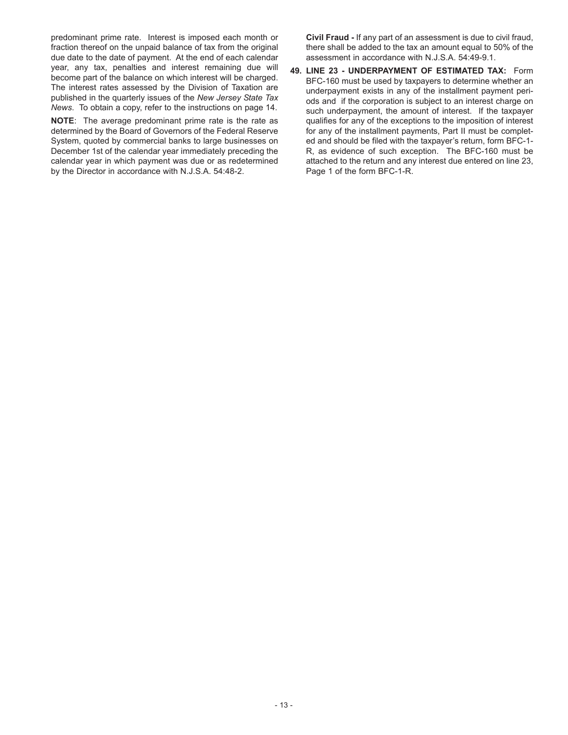predominant prime rate. Interest is imposed each month or fraction thereof on the unpaid balance of tax from the original due date to the date of payment. At the end of each calendar year, any tax, penalties and interest remaining due will become part of the balance on which interest will be charged. The interest rates assessed by the Division of Taxation are published in the quarterly issues of the *New Jersey State Tax News*. To obtain a copy, refer to the instructions on page 14.

**NOTE**: The average predominant prime rate is the rate as determined by the Board of Governors of the Federal Reserve System, quoted by commercial banks to large businesses on December 1st of the calendar year immediately preceding the calendar year in which payment was due or as redetermined by the Director in accordance with N.J.S.A. 54:48-2.

**Civil Fraud -** If any part of an assessment is due to civil fraud, there shall be added to the tax an amount equal to 50% of the assessment in accordance with N.J.S.A. 54:49-9.1.

**49. LINE 23 - UNDERPAYMENT OF ESTIMATED TAX:** Form BFC-160 must be used by taxpayers to determine whether an underpayment exists in any of the installment payment periods and if the corporation is subject to an interest charge on such underpayment, the amount of interest. If the taxpayer qualifies for any of the exceptions to the imposition of interest for any of the installment payments, Part II must be completed and should be filed with the taxpayer's return, form BFC-1- R, as evidence of such exception. The BFC-160 must be attached to the return and any interest due entered on line 23, Page 1 of the form BFC-1-R.